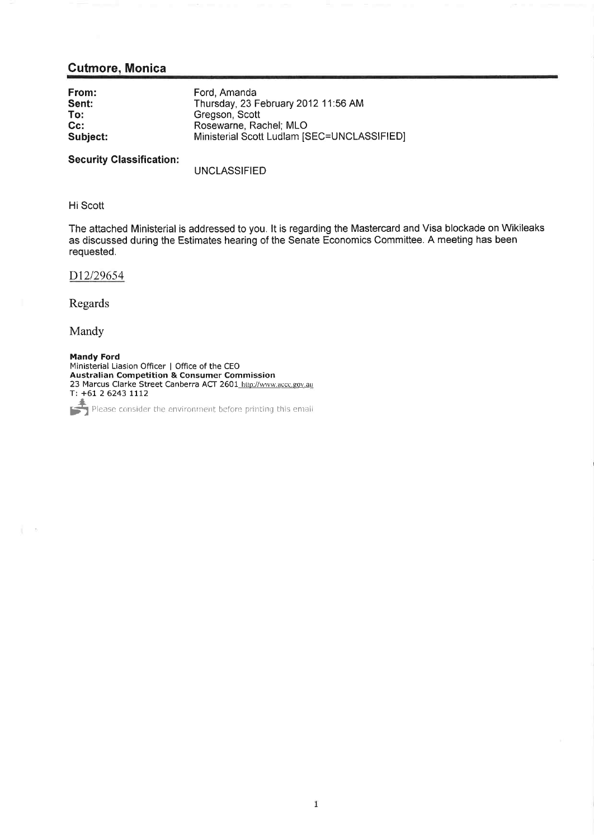## **Cutmore, Monica**

| From:    | Ford, Amanda                                |
|----------|---------------------------------------------|
| Sent:    | Thursday, 23 February 2012 11:56 AM         |
| To:      | Gregson, Scott                              |
| $Cc$ :   | Rosewarne, Rachel; MLO                      |
| Subject: | Ministerial Scott Ludlam [SEC=UNCLASSIFIED] |

**Security Classification:** 

**UNCLASSIFIED** 

## Hi Scott

The attached Ministerial is addressed to you. It is regarding the Mastercard and Visa blockade on Wikileaks as discussed during the Estimates hearing of the Senate Economics Committee. A meeting has been requested.

D12/29654

Regards

Mandy

 $\mathbb{C}$   $\rightarrow$ 

**Mandy Ford** Ministerial Liasion Officer | Office of the CEO **Australian Competition & Consumer Commission**<br>23 Marcus Clarke Street Canberra ACT 2601 http://www.accc.gov.au T: +61 2 6243 1112

Please consider the environment before printing this email IS ٦